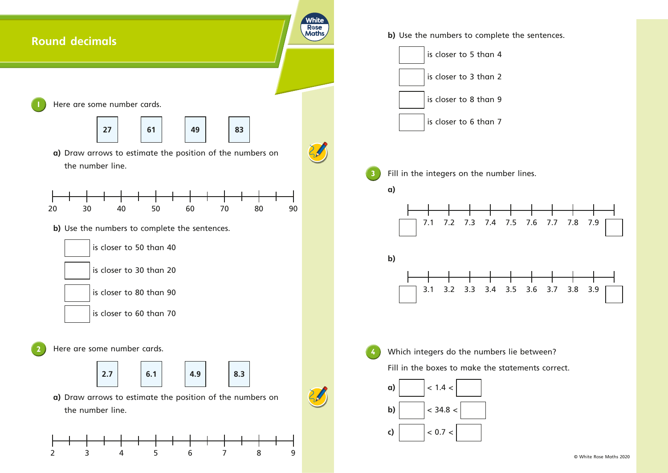

© White Rose Maths 2020